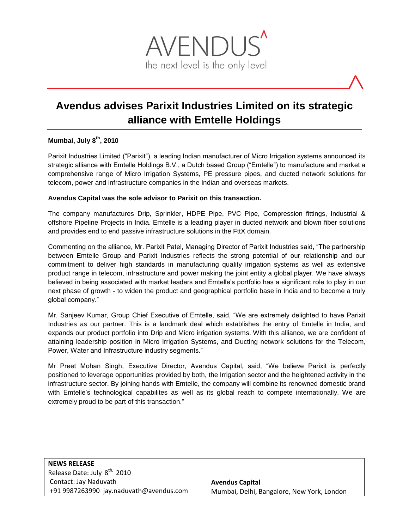

# **Avendus advises Parixit Industries Limited on its strategic alliance with Emtelle Holdings**

## **Mumbai, July 8 th, 2010**

Parixit Industries Limited ("Parixit"), a leading Indian manufacturer of Micro Irrigation systems announced its strategic alliance with Emtelle Holdings B.V., a Dutch based Group ("Emtelle") to manufacture and market a comprehensive range of Micro Irrigation Systems, PE pressure pipes, and ducted network solutions for telecom, power and infrastructure companies in the Indian and overseas markets.

### **Avendus Capital was the sole advisor to Parixit on this transaction.**

The company manufactures Drip, Sprinkler, HDPE Pipe, PVC Pipe, Compression fittings, Industrial & offshore Pipeline Projects in India. Emtelle is a leading player in ducted network and blown fiber solutions and provides end to end passive infrastructure solutions in the FttX domain.

Commenting on the alliance, Mr. Parixit Patel, Managing Director of Parixit Industries said, "The partnership between Emtelle Group and Parixit Industries reflects the strong potential of our relationship and our commitment to deliver high standards in manufacturing quality irrigation systems as well as extensive product range in telecom, infrastructure and power making the joint entity a global player. We have always believed in being associated with market leaders and Emtelle's portfolio has a significant role to play in our next phase of growth - to widen the product and geographical portfolio base in India and to become a truly global company."

Mr. Sanjeev Kumar, Group Chief Executive of Emtelle, said, "We are extremely delighted to have Parixit Industries as our partner. This is a landmark deal which establishes the entry of Emtelle in India, and expands our product portfolio into Drip and Micro irrigation systems. With this alliance, we are confident of attaining leadership position in Micro Irrigation Systems, and Ducting network solutions for the Telecom, Power, Water and Infrastructure industry segments."

Mr Preet Mohan Singh, Executive Director, Avendus Capital, said, "We believe Parixit is perfectly positioned to leverage opportunities provided by both, the Irrigation sector and the heightened activity in the infrastructure sector. By joining hands with Emtelle, the company will combine its renowned domestic brand with Emtelle's technological capabilites as well as its global reach to compete internationally. We are extremely proud to be part of this transaction."